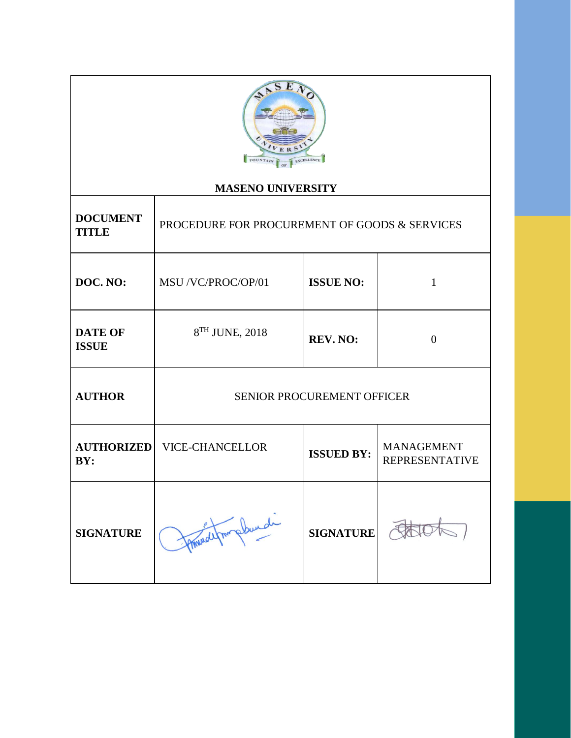

## **MASENO UNIVERSITY**

Τ

| <b>DOCUMENT</b><br><b>TITLE</b> | PROCEDURE FOR PROCUREMENT OF GOODS & SERVICES |                   |                                            |
|---------------------------------|-----------------------------------------------|-------------------|--------------------------------------------|
| DOC. NO:                        | MSU /VC/PROC/OP/01                            | <b>ISSUE NO:</b>  | 1                                          |
| <b>DATE OF</b><br><b>ISSUE</b>  | 8 <sup>TH</sup> JUNE, 2018                    | <b>REV. NO:</b>   | $\theta$                                   |
| <b>AUTHOR</b>                   | <b>SENIOR PROCUREMENT OFFICER</b>             |                   |                                            |
| <b>AUTHORIZED</b><br>BY:        | <b>VICE-CHANCELLOR</b>                        | <b>ISSUED BY:</b> | <b>MANAGEMENT</b><br><b>REPRESENTATIVE</b> |
| <b>SIGNATURE</b>                | afm plunde                                    | <b>SIGNATURE</b>  |                                            |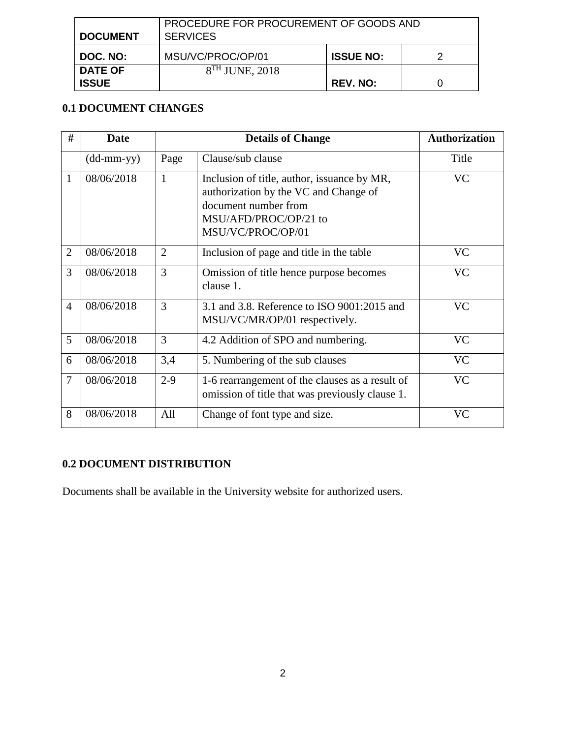| <b>DOCUMENT</b> | PROCEDURE FOR PROCUREMENT OF GOODS AND<br><b>SERVICES</b> |                  |  |
|-----------------|-----------------------------------------------------------|------------------|--|
| DOC. NO:        | MSU/VC/PROC/OP/01                                         | <b>ISSUE NO:</b> |  |
| <b>DATE OF</b>  | $8TH$ JUNE, 2018                                          |                  |  |
| <b>ISSUE</b>    |                                                           | <b>REV. NO:</b>  |  |

## **0.1 DOCUMENT CHANGES**

| #              | <b>Date</b>                         |                | <b>Details of Change</b>                                                                                                                                   | <b>Authorization</b> |
|----------------|-------------------------------------|----------------|------------------------------------------------------------------------------------------------------------------------------------------------------------|----------------------|
|                | $(dd\text{-}\mathrm{mm\text{-}yy})$ | Page           | Clause/sub clause                                                                                                                                          | Title                |
| $\mathbf{1}$   | 08/06/2018                          | $\mathbf{1}$   | Inclusion of title, author, issuance by MR,<br>authorization by the VC and Change of<br>document number from<br>MSU/AFD/PROC/OP/21 to<br>MSU/VC/PROC/OP/01 | <b>VC</b>            |
| $\overline{2}$ | 08/06/2018                          | $\overline{2}$ | Inclusion of page and title in the table                                                                                                                   | <b>VC</b>            |
| 3              | 08/06/2018                          | 3              | Omission of title hence purpose becomes<br>clause 1.                                                                                                       | <b>VC</b>            |
| $\overline{4}$ | 08/06/2018                          | 3              | 3.1 and 3.8. Reference to ISO 9001:2015 and<br>MSU/VC/MR/OP/01 respectively.                                                                               | VC                   |
| 5              | 08/06/2018                          | 3              | 4.2 Addition of SPO and numbering.                                                                                                                         | <b>VC</b>            |
| 6              | 08/06/2018                          | 3,4            | 5. Numbering of the sub clauses                                                                                                                            | <b>VC</b>            |
| 7              | 08/06/2018                          | $2-9$          | 1-6 rearrangement of the clauses as a result of<br>omission of title that was previously clause 1.                                                         | <b>VC</b>            |
| 8              | 08/06/2018                          | All            | Change of font type and size.                                                                                                                              | <b>VC</b>            |

# **0.2 DOCUMENT DISTRIBUTION**

Documents shall be available in the University website for authorized users.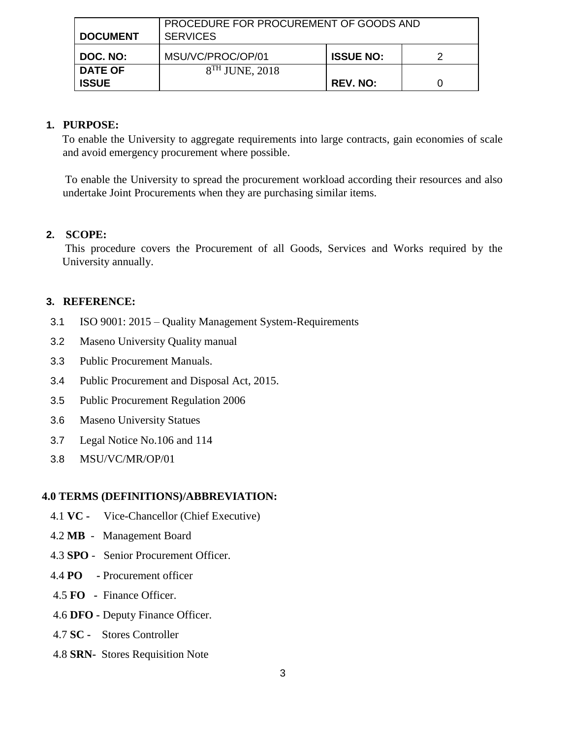| <b>DOCUMENT</b> | PROCEDURE FOR PROCUREMENT OF GOODS AND<br><b>SERVICES</b> |                  |  |
|-----------------|-----------------------------------------------------------|------------------|--|
| DOC. NO:        | MSU/VC/PROC/OP/01                                         | <b>ISSUE NO:</b> |  |
| <b>DATE OF</b>  | $8TH$ JUNE, 2018                                          |                  |  |
| <b>ISSUE</b>    |                                                           | <b>REV. NO:</b>  |  |

## **1. PURPOSE:**

To enable the University to aggregate requirements into large contracts, gain economies of scale and avoid emergency procurement where possible.

To enable the University to spread the procurement workload according their resources and also undertake Joint Procurements when they are purchasing similar items.

## **2. SCOPE:**

This procedure covers the Procurement of all Goods, Services and Works required by the University annually.

### **3. REFERENCE:**

- 3.1 ISO 9001: 2015 Quality Management System-Requirements
- 3.2 Maseno University Quality manual
- 3.3 Public Procurement Manuals.
- 3.4 Public Procurement and Disposal Act, 2015.
- 3.5 Public Procurement Regulation 2006
- 3.6 Maseno University Statues
- 3.7 Legal Notice No.106 and 114
- 3.8 MSU/VC/MR/OP/01

## **4.0 TERMS (DEFINITIONS)/ABBREVIATION:**

- 4.1 **VC** Vice-Chancellor (Chief Executive)
- 4.2 **MB** Management Board
- 4.3 **SPO** Senior Procurement Officer.
- 4.4 **PO -** Procurement officer
- 4.5 **FO -** Finance Officer.
- 4.6 **DFO -** Deputy Finance Officer.
- 4.7 **SC** Stores Controller
- 4.8 **SRN-** Stores Requisition Note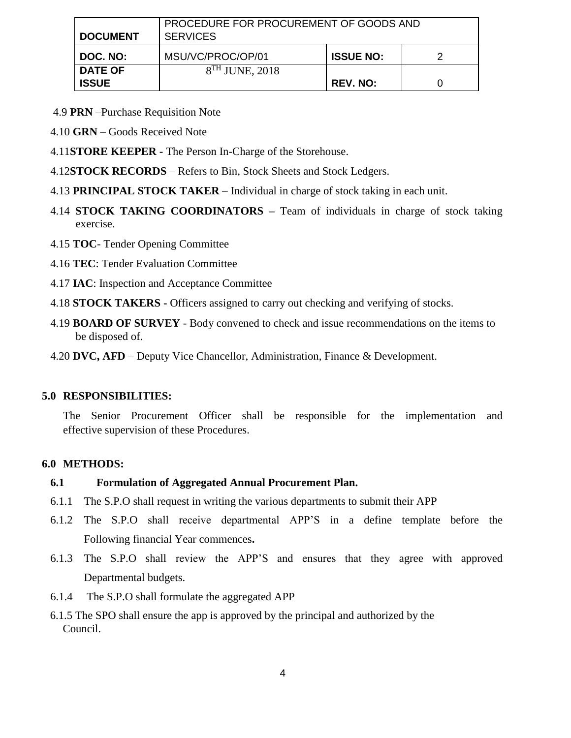| <b>DOCUMENT</b> | PROCEDURE FOR PROCUREMENT OF GOODS AND<br><b>SERVICES</b> |                  |   |
|-----------------|-----------------------------------------------------------|------------------|---|
| DOC. NO:        | MSU/VC/PROC/OP/01                                         | <b>ISSUE NO:</b> | っ |
| <b>DATE OF</b>  | $8TH$ JUNE, 2018                                          |                  |   |
| <b>ISSUE</b>    |                                                           | <b>REV. NO:</b>  |   |

- 4.9 **PRN** –Purchase Requisition Note
- 4.10 **GRN** Goods Received Note
- 4.11**STORE KEEPER -** The Person In-Charge of the Storehouse.
- 4.12**STOCK RECORDS** Refers to Bin, Stock Sheets and Stock Ledgers.
- 4.13 **PRINCIPAL STOCK TAKER** Individual in charge of stock taking in each unit.
- 4.14 **STOCK TAKING COORDINATORS –** Team of individuals in charge of stock taking exercise.
- 4.15 **TOC** Tender Opening Committee
- 4.16 **TEC**: Tender Evaluation Committee
- 4.17 **IAC**: Inspection and Acceptance Committee
- 4.18 **STOCK TAKERS -** Officers assigned to carry out checking and verifying of stocks.
- 4.19 **BOARD OF SURVEY** Body convened to check and issue recommendations on the items to be disposed of.
- 4.20 **DVC, AFD** Deputy Vice Chancellor, Administration, Finance & Development.

### **5.0 RESPONSIBILITIES:**

The Senior Procurement Officer shall be responsible for the implementation and effective supervision of these Procedures.

#### **6.0 METHODS:**

## **6.1 Formulation of Aggregated Annual Procurement Plan.**

- 6.1.1 The S.P.O shall request in writing the various departments to submit their APP
- 6.1.2 The S.P.O shall receive departmental APP'S in a define template before the Following financial Year commences**.**
- 6.1.3 The S.P.O shall review the APP'S and ensures that they agree with approved Departmental budgets.
- 6.1.4 The S.P.O shall formulate the aggregated APP
- 6.1.5 The SPO shall ensure the app is approved by the principal and authorized by the Council.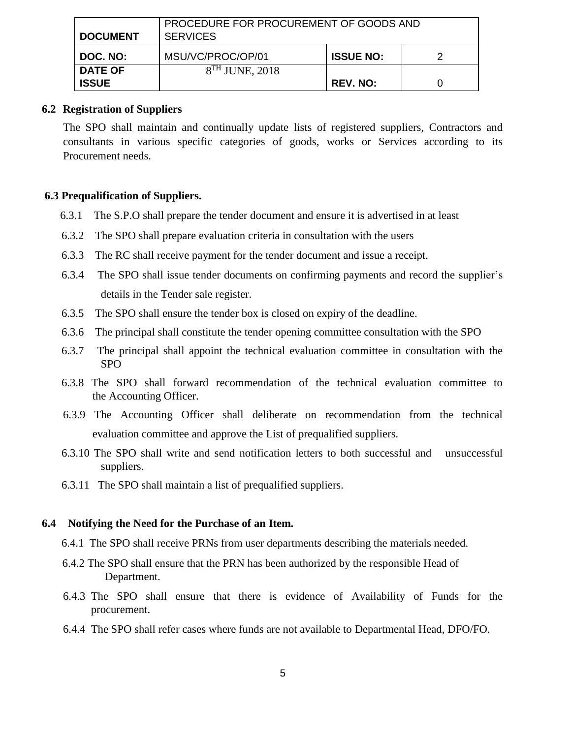| <b>I DOCUMENT</b> | PROCEDURE FOR PROCUREMENT OF GOODS AND<br><b>SERVICES</b> |                  |  |
|-------------------|-----------------------------------------------------------|------------------|--|
| I DOC. NO:        | MSU/VC/PROC/OP/01                                         | <b>ISSUE NO:</b> |  |
| <b>DATE OF</b>    | $8TH$ JUNE, 2018                                          |                  |  |
| <b>ISSUE</b>      |                                                           | <b>REV. NO:</b>  |  |

#### **6.2 Registration of Suppliers**

The SPO shall maintain and continually update lists of registered suppliers, Contractors and consultants in various specific categories of goods, works or Services according to its Procurement needs.

#### **6.3 Prequalification of Suppliers.**

- 6.3.1 The S.P.O shall prepare the tender document and ensure it is advertised in at least
- 6.3.2 The SPO shall prepare evaluation criteria in consultation with the users
- 6.3.3 The RC shall receive payment for the tender document and issue a receipt.
- 6.3.4 The SPO shall issue tender documents on confirming payments and record the supplier's details in the Tender sale register.
- 6.3.5 The SPO shall ensure the tender box is closed on expiry of the deadline.
- 6.3.6 The principal shall constitute the tender opening committee consultation with the SPO
- 6.3.7 The principal shall appoint the technical evaluation committee in consultation with the SPO
- 6.3.8 The SPO shall forward recommendation of the technical evaluation committee to the Accounting Officer.
- 6.3.9 The Accounting Officer shall deliberate on recommendation from the technical evaluation committee and approve the List of prequalified suppliers.
- 6.3.10 The SPO shall write and send notification letters to both successful and unsuccessful suppliers.
- 6.3.11 The SPO shall maintain a list of prequalified suppliers.

#### **6.4 Notifying the Need for the Purchase of an Item.**

- 6.4.1 The SPO shall receive PRNs from user departments describing the materials needed.
- 6.4.2 The SPO shall ensure that the PRN has been authorized by the responsible Head of Department.
- 6.4.3 The SPO shall ensure that there is evidence of Availability of Funds for the procurement.
- 6.4.4 The SPO shall refer cases where funds are not available to Departmental Head, DFO/FO.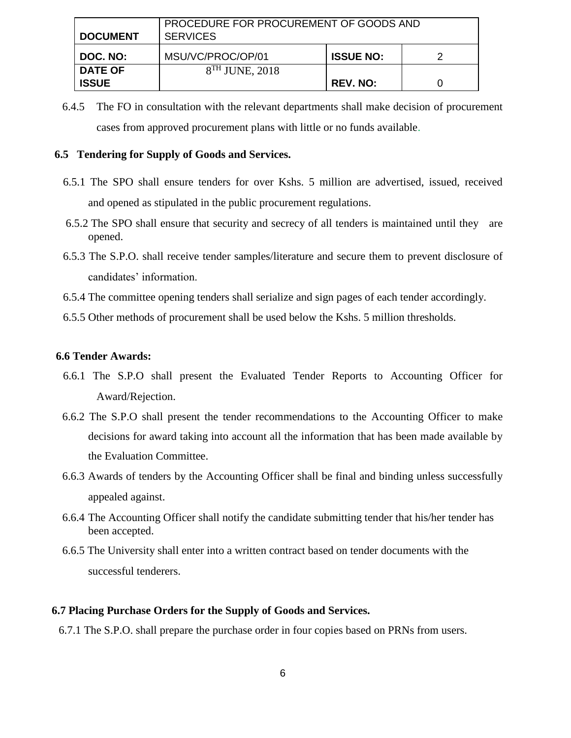| <b>DOCUMENT</b> | PROCEDURE FOR PROCUREMENT OF GOODS AND<br><b>SERVICES</b> |                  |  |
|-----------------|-----------------------------------------------------------|------------------|--|
| DOC. NO:        | MSU/VC/PROC/OP/01                                         | <b>ISSUE NO:</b> |  |
| <b>DATE OF</b>  | $8TH$ JUNE, 2018                                          |                  |  |
| <b>ISSUE</b>    |                                                           | <b>REV. NO:</b>  |  |

6.4.5 The FO in consultation with the relevant departments shall make decision of procurement cases from approved procurement plans with little or no funds available.

#### **6.5 Tendering for Supply of Goods and Services.**

- 6.5.1 The SPO shall ensure tenders for over Kshs. 5 million are advertised, issued, received and opened as stipulated in the public procurement regulations.
- 6.5.2 The SPO shall ensure that security and secrecy of all tenders is maintained until they are opened.
- 6.5.3 The S.P.O. shall receive tender samples/literature and secure them to prevent disclosure of candidates' information.
- 6.5.4 The committee opening tenders shall serialize and sign pages of each tender accordingly.
- 6.5.5 Other methods of procurement shall be used below the Kshs. 5 million thresholds.

#### **6.6 Tender Awards:**

- 6.6.1 The S.P.O shall present the Evaluated Tender Reports to Accounting Officer for Award/Rejection.
- 6.6.2 The S.P.O shall present the tender recommendations to the Accounting Officer to make decisions for award taking into account all the information that has been made available by the Evaluation Committee.
- 6.6.3 Awards of tenders by the Accounting Officer shall be final and binding unless successfully appealed against.
- 6.6.4 The Accounting Officer shall notify the candidate submitting tender that his/her tender has been accepted.
- 6.6.5 The University shall enter into a written contract based on tender documents with the successful tenderers.

#### **6.7 Placing Purchase Orders for the Supply of Goods and Services.**

6.7.1 The S.P.O. shall prepare the purchase order in four copies based on PRNs from users.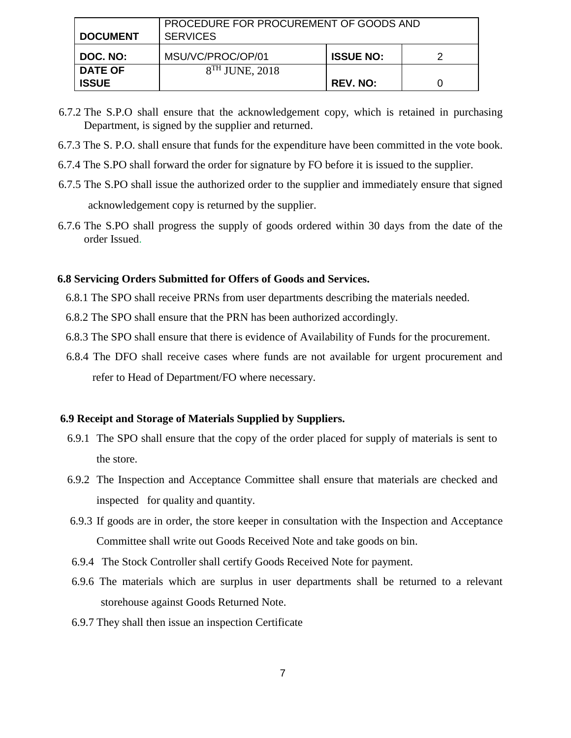| <b>DOCUMENT</b> | PROCEDURE FOR PROCUREMENT OF GOODS AND<br><b>SERVICES</b> |                  |  |
|-----------------|-----------------------------------------------------------|------------------|--|
| DOC. NO:        | MSU/VC/PROC/OP/01                                         | <b>ISSUE NO:</b> |  |
| <b>DATE OF</b>  | $8TH$ JUNE, 2018                                          |                  |  |
| <b>ISSUE</b>    |                                                           | <b>REV. NO:</b>  |  |

- 6.7.2 The S.P.O shall ensure that the acknowledgement copy, which is retained in purchasing Department, is signed by the supplier and returned.
- 6.7.3 The S. P.O. shall ensure that funds for the expenditure have been committed in the vote book.
- 6.7.4 The S.PO shall forward the order for signature by FO before it is issued to the supplier.
- 6.7.5 The S.PO shall issue the authorized order to the supplier and immediately ensure that signed acknowledgement copy is returned by the supplier.
- 6.7.6 The S.PO shall progress the supply of goods ordered within 30 days from the date of the order Issued.

#### **6.8 Servicing Orders Submitted for Offers of Goods and Services.**

- 6.8.1 The SPO shall receive PRNs from user departments describing the materials needed.
- 6.8.2 The SPO shall ensure that the PRN has been authorized accordingly.
- 6.8.3 The SPO shall ensure that there is evidence of Availability of Funds for the procurement.
- 6.8.4 The DFO shall receive cases where funds are not available for urgent procurement and refer to Head of Department/FO where necessary.

#### **6.9 Receipt and Storage of Materials Supplied by Suppliers.**

- 6.9.1 The SPO shall ensure that the copy of the order placed for supply of materials is sent to the store.
- 6.9.2 The Inspection and Acceptance Committee shall ensure that materials are checked and inspected for quality and quantity.
- 6.9.3 If goods are in order, the store keeper in consultation with the Inspection and Acceptance Committee shall write out Goods Received Note and take goods on bin.
- 6.9.4 The Stock Controller shall certify Goods Received Note for payment.
- 6.9.6 The materials which are surplus in user departments shall be returned to a relevant storehouse against Goods Returned Note.
- 6.9.7 They shall then issue an inspection Certificate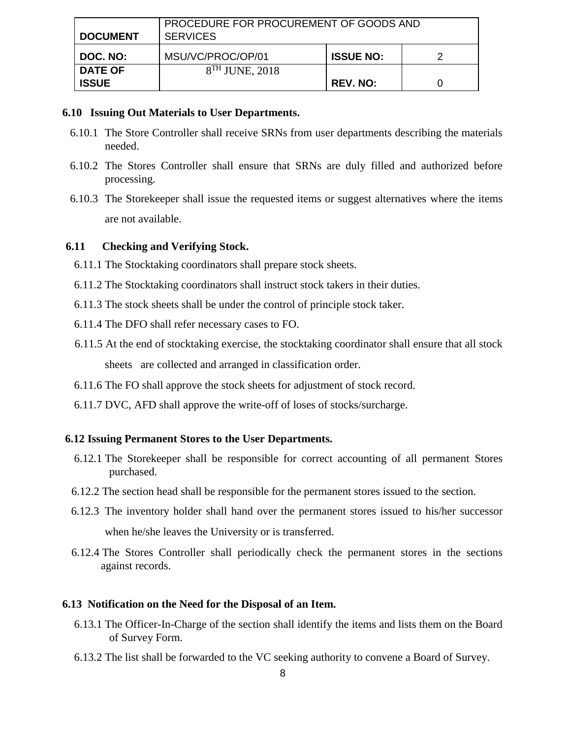| <b>DOCUMENT</b>                | PROCEDURE FOR PROCUREMENT OF GOODS AND<br><b>SERVICES</b> |                  |  |
|--------------------------------|-----------------------------------------------------------|------------------|--|
| DOC. NO:                       | MSU/VC/PROC/OP/01                                         | <b>ISSUE NO:</b> |  |
| <b>DATE OF</b><br><b>ISSUE</b> | $8TH$ JUNE, 2018                                          | <b>REV. NO:</b>  |  |

#### **6.10 Issuing Out Materials to User Departments.**

- 6.10.1 The Store Controller shall receive SRNs from user departments describing the materials needed.
- 6.10.2 The Stores Controller shall ensure that SRNs are duly filled and authorized before processing.
- 6.10.3 The Storekeeper shall issue the requested items or suggest alternatives where the items are not available.

### **6.11 Checking and Verifying Stock.**

- 6.11.1 The Stocktaking coordinators shall prepare stock sheets.
- 6.11.2 The Stocktaking coordinators shall instruct stock takers in their duties.
- 6.11.3 The stock sheets shall be under the control of principle stock taker.
- 6.11.4 The DFO shall refer necessary cases to FO.
- 6.11.5 At the end of stocktaking exercise, the stocktaking coordinator shall ensure that all stock sheets are collected and arranged in classification order.
- 6.11.6 The FO shall approve the stock sheets for adjustment of stock record.
- 6.11.7 DVC, AFD shall approve the write-off of loses of stocks/surcharge.

#### **6.12 Issuing Permanent Stores to the User Departments.**

- 6.12.1 The Storekeeper shall be responsible for correct accounting of all permanent Stores purchased.
- 6.12.2 The section head shall be responsible for the permanent stores issued to the section.
- 6.12.3 The inventory holder shall hand over the permanent stores issued to his/her successor when he/she leaves the University or is transferred.
- 6.12.4 The Stores Controller shall periodically check the permanent stores in the sections against records.

#### **6.13 Notification on the Need for the Disposal of an Item.**

- 6.13.1 The Officer-In-Charge of the section shall identify the items and lists them on the Board of Survey Form.
- 6.13.2 The list shall be forwarded to the VC seeking authority to convene a Board of Survey.